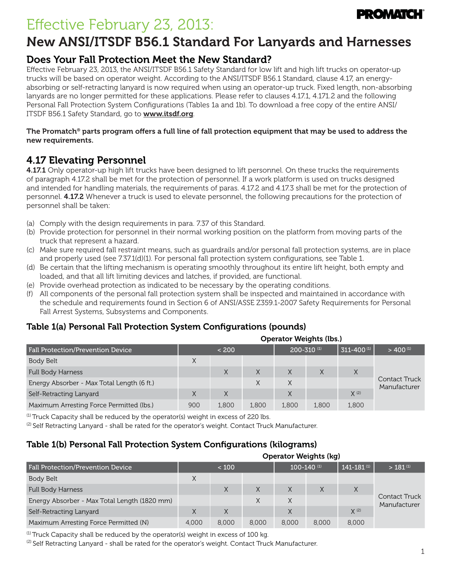# Effective February 23, 2013:



# New ANSI/ITSDF B56.1 Standard For Lanyards and Harnesses

# Does Your Fall Protection Meet the New Standard?

Effective February 23, 2013, the ANSI/ITSDF B56.1 Safety Standard for low lift and high lift trucks on operator-up trucks will be based on operator weight. According to the ANSI/ITSDF B56.1 Standard, clause 4.17, an energyabsorbing or self-retracting lanyard is now required when using an operator-up truck. Fixed length, non-absorbing lanyards are no longer permitted for these applications. Please refer to clauses 4.17.1, 4.171.2 and the following Personal Fall Protection System Configurations (Tables 1a and 1b). To download a free copy of the entire ANSI/ ITSDF B56.1 Safety Standard, go to www.itsdf.org.

#### The Promatch<sup>®</sup> parts program offers a full line of fall protection equipment that may be used to address the new requirements.

# 4.17 Elevating Personnel

4.17.1 Only operator-up high lift trucks have been designed to lift personnel. On these trucks the requirements of paragraph 4.17.2 shall be met for the protection of personnel. If a work platform is used on trucks designed and intended for handling materials, the requirements of paras. 4.17.2 and 4.17.3 shall be met for the protection of personnel. 4.17.2 Whenever a truck is used to elevate personnel, the following precautions for the protection of personnel shall be taken:

- (a) Comply with the design requirements in para. 7.37 of this Standard.
- (b) Provide protection for personnel in their normal working position on the platform from moving parts of the truck that represent a hazard.
- (c) Make sure required fall restraint means, such as guardrails and/or personal fall protection systems, are in place and properly used (see 7.37.1(d)(1). For personal fall protection system configurations, see Table 1.
- (d) Be certain that the lifting mechanism is operating smoothly throughout its entire lift height, both empty and loaded, and that all lift limiting devices and latches, if provided, are functional.
- (e) Provide overhead protection as indicated to be necessary by the operating conditions.
- (f) All components of the personal fall protection system shall be inspected and maintained in accordance with the schedule and requirements found in Section 6 of ANSI/ASSE Z359.1-2007 Safety Requirements for Personal Fall Arrest Systems, Subsystems and Components.

### Table 1(a) Personal Fall Protection System Configurations (pounds)

|                                            |     |       |       | Operator weights (ips.) |             |             |                                      |
|--------------------------------------------|-----|-------|-------|-------------------------|-------------|-------------|--------------------------------------|
| Fall Protection/Prevention Device          |     | < 200 |       |                         | 200-310 (1) | 311-400 (1) | $>$ 400 $(1)$                        |
| Body Belt                                  | X   |       |       |                         |             |             |                                      |
| <b>Full Body Harness</b>                   |     | X     | X     | X                       | X           | X           |                                      |
| Energy Absorber - Max Total Length (6 ft.) |     |       | X     | X                       |             |             | <b>Contact Truck</b><br>Manufacturer |
| Self-Retracting Lanyard                    | X   | X     |       | X                       |             | $X^{(2)}$   |                                      |
| Maximum Arresting Force Permitted (lbs.)   | 900 | 1,800 | 1.800 | 1.800                   | 1.800       | 1,800       |                                      |

Operator Weights (lbs.)

 $(1)$  Truck Capacity shall be reduced by the operator(s) weight in excess of 220 lbs.

 $^{(2)}$  Self Retracting Lanyard - shall be rated for the operator's weight. Contact Truck Manufacturer.

### Table 1(b) Personal Fall Protection System Configurations (kilograms)

|                                              | <b>Operator Weights (kg)</b> |       |       |          |                 |                   |                               |  |  |
|----------------------------------------------|------------------------------|-------|-------|----------|-----------------|-------------------|-------------------------------|--|--|
| <b>Fall Protection/Prevention Device</b>     |                              | < 100 |       |          | $100 - 140$ (1) | $141 - 181^{(1)}$ | $>$ 181 $(1)$                 |  |  |
| Body Belt                                    |                              |       |       |          |                 |                   |                               |  |  |
| <b>Full Body Harness</b>                     |                              | X     |       |          |                 | X                 |                               |  |  |
| Energy Absorber - Max Total Length (1820 mm) |                              |       | X     | $\times$ |                 |                   | Contact Truck<br>Manufacturer |  |  |
| Self-Retracting Lanyard                      |                              |       |       |          |                 | $X^{(2)}$         |                               |  |  |
| Maximum Arresting Force Permitted (N)        | 4.000                        | 8,000 | 8.000 | 8,000    | 8,000           | 8,000             |                               |  |  |

 $(1)$  Truck Capacity shall be reduced by the operator(s) weight in excess of 100 kg.

 $^{(2)}$  Self Retracting Lanyard - shall be rated for the operator's weight. Contact Truck Manufacturer.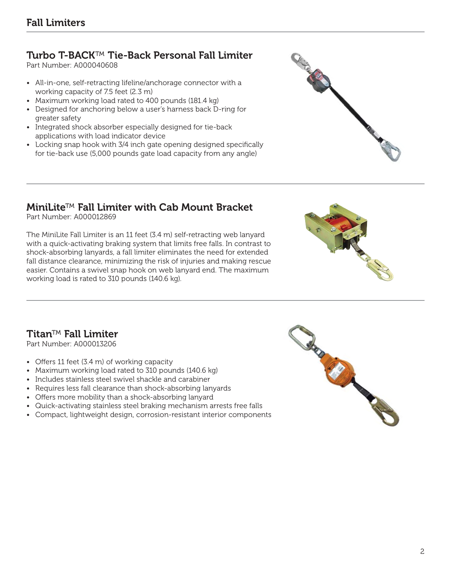# Turbo T-BACK™ Tie-Back Personal Fall Limiter

Part Number: A000040608

- All-in-one, self-retracting lifeline/anchorage connector with a working capacity of 7.5 feet (2.3 m)
- Maximum working load rated to 400 pounds (181.4 kg)
- Designed for anchoring below a user's harness back D-ring for greater safety
- Integrated shock absorber especially designed for tie-back applications with load indicator device
- Locking snap hook with 3/4 inch gate opening designed specifically for tie-back use (5,000 pounds gate load capacity from any angle)



# MiniLite™ Fall Limiter with Cab Mount Bracket

Part Number: A000012869

The MiniLite Fall Limiter is an 11 feet (3.4 m) self-retracting web lanyard with a quick-activating braking system that limits free falls. In contrast to shock-absorbing lanyards, a fall limiter eliminates the need for extended fall distance clearance, minimizing the risk of injuries and making rescue easier. Contains a swivel snap hook on web lanyard end. The maximum working load is rated to 310 pounds (140.6 kg).



# Titan™ Fall Limiter

Part Number: A000013206

- Offers 11 feet  $(3.4 \text{ m})$  of working capacity
- Maximum working load rated to 310 pounds (140.6 kg)
- Includes stainless steel swivel shackle and carabiner
- Requires less fall clearance than shock-absorbing lanyards
- Offers more mobility than a shock-absorbing lanyard
- Quick-activating stainless steel braking mechanism arrests free falls
- Compact, lightweight design, corrosion-resistant interior components

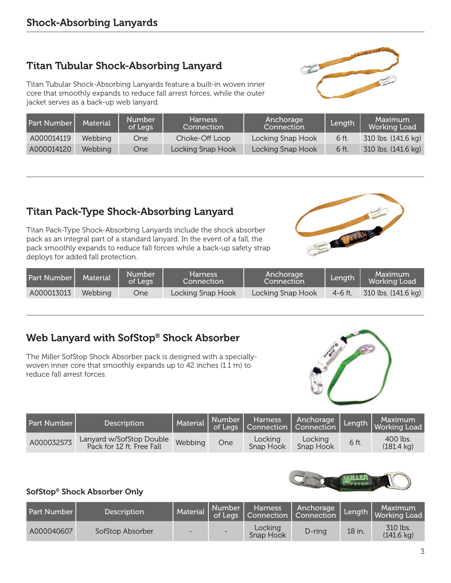Shock-Absorbing Lanyards

# Titan Tubular Shock-Absorbing Lanyard

Titan Tubular Shock-Absorbing Lanyards feature a built-in woven inner core that smoothly expands to reduce fall arrest forces, while the outer jacket serves as a back-up web lanyard.

| Part Number | <b>Material</b> | <b>Number</b><br>of Legs | <b>Harness</b><br>Connection | Anchorage<br>Connection | Length | Maximum<br><b>Working Load</b> |
|-------------|-----------------|--------------------------|------------------------------|-------------------------|--------|--------------------------------|
| A000014119  | Webbing         | One                      | Choke-Off Loop               | Locking Snap Hook       | 6 ft.  | 310 lbs. (141.6 kg)            |
| A000014120  | Webbina         | One                      | Locking Snap Hook            | Locking Snap Hook       | 6 ft.  | 310 lbs. (141.6 kg)            |

# Titan Pack-Type Shock-Absorbing Lanyard

Titan Pack-Type Shock-Absorbing Lanyards include the shock absorber pack as an integral part of a standard lanyard. In the event of a fall, the pack smoothly expands to reduce fall forces while a back-up safety strap deploys for added fall protection.

| $ra$ illiwci i | <b>Material</b> | of Legs | Connection        | Connection        | Lengui   |    |
|----------------|-----------------|---------|-------------------|-------------------|----------|----|
| A000013013     | Webbing         | Onel    | Locking Snap Hook | Locking Snap Hook | -4-6 ft. | 31 |
|                |                 |         |                   |                   |          |    |

Harness

# Web Lanyard with SofStop® Shock Absorber

The Miller SofStop Shock Absorber pack is designed with a speciallywoven inner core that smoothly expands up to 42 inches (1.1 m) to reduce fall arrest forces.

| <b>Part Number</b> | <b>Description</b>                                    |         |     |                      | Material Mumber Harness Andrew Pear |       | Maximum<br>Length   Working Load |
|--------------------|-------------------------------------------------------|---------|-----|----------------------|-------------------------------------|-------|----------------------------------|
| A000032573         | Lanyard w/SofStop Double<br>Pack for 12 ft. Free Fall | Webbing | One | Locking<br>Snap Hook | Locking<br>Snap Hook                | 6 ft. | 400 lbs.<br>$(181.4 \text{ kg})$ |

#### SofStop® Shock Absorber Only

Part Number Material  $\left\lfloor \frac{N}{n} \right\rfloor$ 

| Part Number | Description      | Material | Number | <b>Harness</b><br>of Legs Connection Connection | Anchorage Length |        | Maximum<br>Working Load          |
|-------------|------------------|----------|--------|-------------------------------------------------|------------------|--------|----------------------------------|
| A000040607  | SofStop Absorber |          |        | Locking<br>Snap Hook                            | D-rina           | 18 in. | 310 lbs.<br>$(141.6 \text{ kg})$ |

# **CALVITAN**